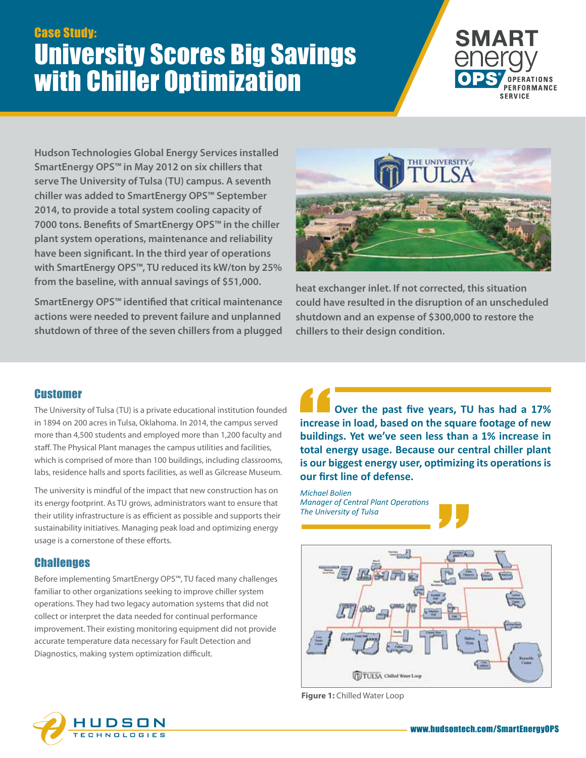## Case Study: University Scores Big Savings with Chiller Optimization



**Hudson Technologies Global Energy Services installed SmartEnergy OPS™ in May 2012 on six chillers that serve The University of Tulsa (TU) campus. A seventh chiller was added to SmartEnergy OPS™ September 2014, to provide a total system cooling capacity of 7000 tons. Benefits of SmartEnergy OPS™ in the chiller plant system operations, maintenance and reliability have been significant. In the third year of operations with SmartEnergy OPS™, TU reduced its kW/ton by 25% from the baseline, with annual savings of \$51,000.**

**SmartEnergy OPS™ identified that critical maintenance actions were needed to prevent failure and unplanned shutdown of three of the seven chillers from a plugged** 



**heat exchanger inlet. If not corrected, this situation could have resulted in the disruption of an unscheduled shutdown and an expense of \$300,000 to restore the chillers to their design condition.**

## **Customer**

The University of Tulsa (TU) is a private educational institution founded in 1894 on 200 acres in Tulsa, Oklahoma. In 2014, the campus served more than 4,500 students and employed more than 1,200 faculty and staff. The Physical Plant manages the campus utilities and facilities, which is comprised of more than 100 buildings, including classrooms, labs, residence halls and sports facilities, as well as Gilcrease Museum.

The university is mindful of the impact that new construction has on its energy footprint. As TU grows, administrators want to ensure that their utility infrastructure is as efficient as possible and supports their sustainability initiatives. Managing peak load and optimizing energy usage is a cornerstone of these efforts.

## **Challenges**

Before implementing SmartEnergy OPS™, TU faced many challenges familiar to other organizations seeking to improve chiller system operations. They had two legacy automation systems that did not collect or interpret the data needed for continual performance improvement. Their existing monitoring equipment did not provide accurate temperature data necessary for Fault Detection and Diagnostics, making system optimization difficult.

**Over the past five years, TU has had a 17% increase in load, based on the square footage of new buildings. Yet we've seen less than a 1% increase in total energy usage. Because our central chiller plant is our biggest energy user, optimizing its operations is our first line of defense.**

*Michael Bolien Manager of Central Plant Operations The University of Tulsa*



**Figure 1:** Chilled Water Loop